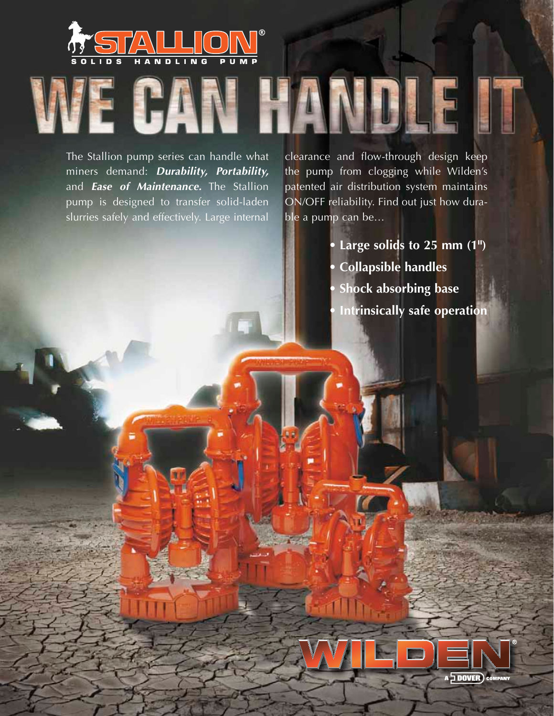

The Stallion pump series can handle what miners demand: *Durability, Portability,*  and *Ease of Maintenance.* The Stallion pump is designed to transfer solid-laden slurries safely and effectively. Large internal clearance and flow-through design keep the pump from clogging while Wilden's patented air distribution system maintains ON/OFF reliability. Find out just how durable a pump can be…

> **• Large solids to 25 mm (1") • Collapsible handles • Shock absorbing base • Intrinsically safe operation**